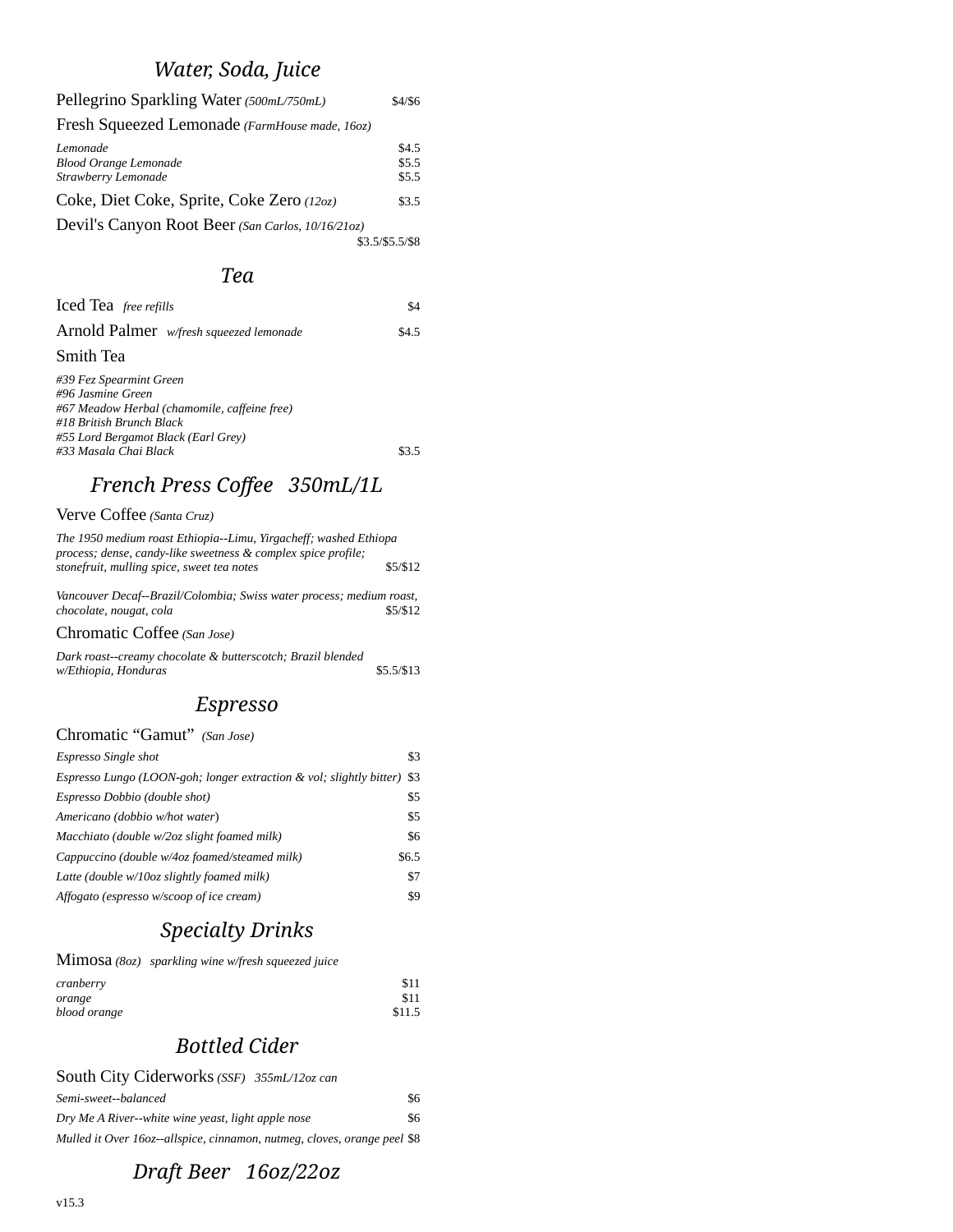# *Water, Soda, Juice*

 $\sim$   $\sim$ 

| Pellegrino Sparkling Water (500mL/750mL)                             | \$4/\$6                 |
|----------------------------------------------------------------------|-------------------------|
| Fresh Squeezed Lemonade (FarmHouse made, 16oz)                       |                         |
| Lemonade<br><b>Blood Orange Lemonade</b><br>Strawberry Lemonade      | \$4.5<br>\$5.5<br>\$5.5 |
| Coke, Diet Coke, Sprite, Coke Zero (12oz)                            | \$3.5                   |
| Devil's Canyon Root Beer (San Carlos, 10/16/21oz)<br>\$3.5/\$5.5/\$8 |                         |

#### *Tea*

| Iced Tea free refills                                                                                                                                                                    | \$4   |
|------------------------------------------------------------------------------------------------------------------------------------------------------------------------------------------|-------|
| Arnold Palmer w/fresh squeezed lemonade                                                                                                                                                  | \$4.5 |
| Smith Tea                                                                                                                                                                                |       |
| #39 Fez Spearmint Green<br>#96 Jasmine Green<br>#67 Meadow Herbal (chamomile, caffeine free)<br>#18 British Brunch Black<br>#55 Lord Bergamot Black (Earl Grey)<br>#33 Masala Chai Black | \$3.5 |

# *French Press Coffee 350mL/1L*

Verve Coffee *(Santa Cruz)*

| The 1950 medium roast Ethiopia--Limu, Yirgacheff; washed Ethiopa<br>process; dense, candy-like sweetness & complex spice profile; |          |
|-----------------------------------------------------------------------------------------------------------------------------------|----------|
| stonefruit, mulling spice, sweet tea notes                                                                                        | \$5/\$12 |
| Vancouver Decaf--Brazil/Colombia; Swiss water process; medium roast,<br>chocolate, nougat, cola                                   | \$5/\$12 |

Chromatic Coffee *(San Jose)* 

*Dark roast--creamy chocolate & butterscotch; Brazil blended w/Ethiopia, Honduras* \$5.5/\$13

### *Espresso*

#### Chromatic "Gamut" *(San Jose)*

| Espresso Single shot                                                    | \$3   |
|-------------------------------------------------------------------------|-------|
| Espresso Lungo (LOON-goh; longer extraction & vol; slightly bitter) \$3 |       |
| Espresso Dobbio (double shot)                                           | \$5   |
| Americano (dobbio w/hot water)                                          | \$5   |
| Macchiato (double w/2oz slight foamed milk)                             | \$6   |
| Cappuccino (double w/4oz foamed/steamed milk)                           | \$6.5 |
| Latte (double w/10oz slightly foamed milk)                              | \$7   |
| Affogato (espresso w/scoop of ice cream)                                | \$9   |

## *Specialty Drinks*

|              | MimOSa (8oz) sparkling wine w/fresh squeezed juice |        |
|--------------|----------------------------------------------------|--------|
| cranberry    |                                                    | \$11   |
| orange       |                                                    | \$11   |
| blood orange |                                                    | \$11.5 |

## *Bottled Cider*

| South City Ciderworks (SSF) 355mL/12oz can                               |     |
|--------------------------------------------------------------------------|-----|
| Semi-sweet--balanced                                                     | \$6 |
| Dry Me A River--white wine yeast, light apple nose                       | \$6 |
| Mulled it Over 160z--allspice, cinnamon, nutmeg, cloves, orange peel \$8 |     |

## *Draft Beer 16oz/22oz*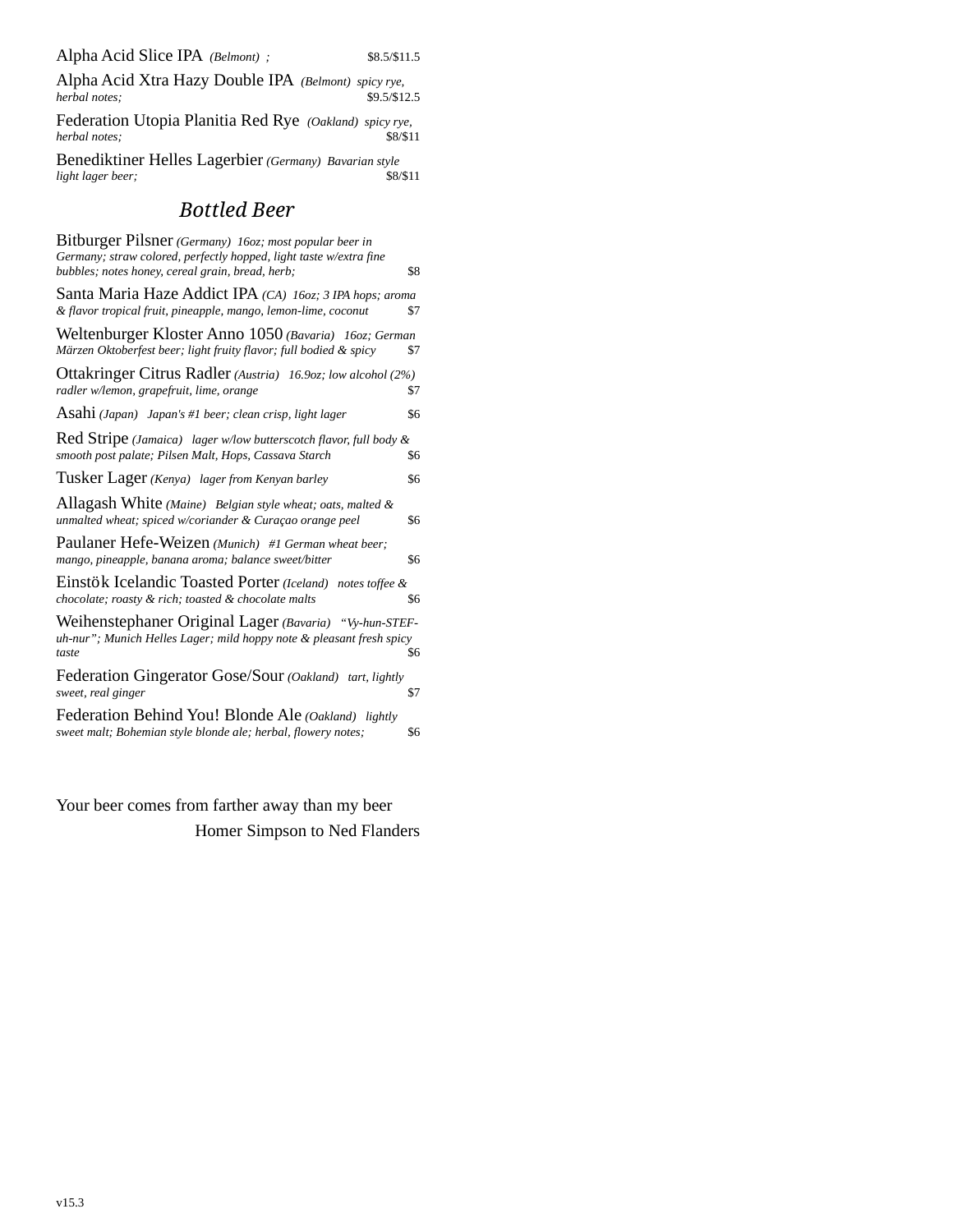Alpha Acid Xtra Hazy Double IPA *(Belmont) spicy rye,*   $h$ <sub>herbal</sub> notes;

Federation Utopia Planitia Red Rye *(Oakland) spicy rye,*   $herbal$  notes;

Benediktiner Helles Lagerbier *(Germany) Bavarian style*   $light$  lager beer;

### *Bottled Beer*

| Bitburger Pilsner (Germany) 160z; most popular beer in<br>Germany; straw colored, perfectly hopped, light taste w/extra fine            |     |
|-----------------------------------------------------------------------------------------------------------------------------------------|-----|
| bubbles; notes honey, cereal grain, bread, herb;                                                                                        | \$8 |
| Santa Maria Haze Addict IPA (CA) 160z; 3 IPA hops; aroma<br>& flavor tropical fruit, pineapple, mango, lemon-lime, coconut              | \$7 |
| Weltenburger Kloster Anno 1050 (Bavaria) 160z; German<br>Märzen Oktoberfest beer; light fruity flavor; full bodied & spicy              | \$7 |
| Ottakringer Citrus Radler (Austria) 16.90z; low alcohol (2%)<br>radler w/lemon, grapefruit, lime, orange                                | \$7 |
| $\operatorname{Asahi}\left($ Japan) $\,$ Japan's #1 beer; clean crisp, light lager                                                      | \$6 |
| Red Stripe (Jamaica) lager w/low butterscotch flavor, full body &<br>smooth post palate; Pilsen Malt, Hops, Cassava Starch              | \$6 |
| Tusker Lager (Kenya) lager from Kenyan barley                                                                                           | \$6 |
| Allagash White (Maine) Belgian style wheat; oats, malted &<br>unmalted wheat; spiced w/coriander & Curaçao orange peel                  | \$6 |
| Paulaner Hefe-Weizen (Munich) #1 German wheat beer;<br>mango, pineapple, banana aroma; balance sweet/bitter                             | \$6 |
| Einstök Icelandic Toasted Porter (Iceland) notes toffee &<br>chocolate; roasty & rich; toasted & chocolate malts                        | \$6 |
| Weihenstephaner Original Lager (Bavaria) "Vy-hun-STEF-<br>uh-nur"; Munich Helles Lager; mild hoppy note & pleasant fresh spicy<br>taste | \$6 |
| Federation Gingerator Gose/Sour (Oakland) tart, lightly<br>sweet, real ginger                                                           | \$7 |
| Federation Behind You! Blonde Ale (Oakland)<br>lightly<br>sweet malt; Bohemian style blonde ale; herbal, flowery notes;                 | \$6 |
|                                                                                                                                         |     |

Your beer comes from farther away than my beer Homer Simpson to Ned Flanders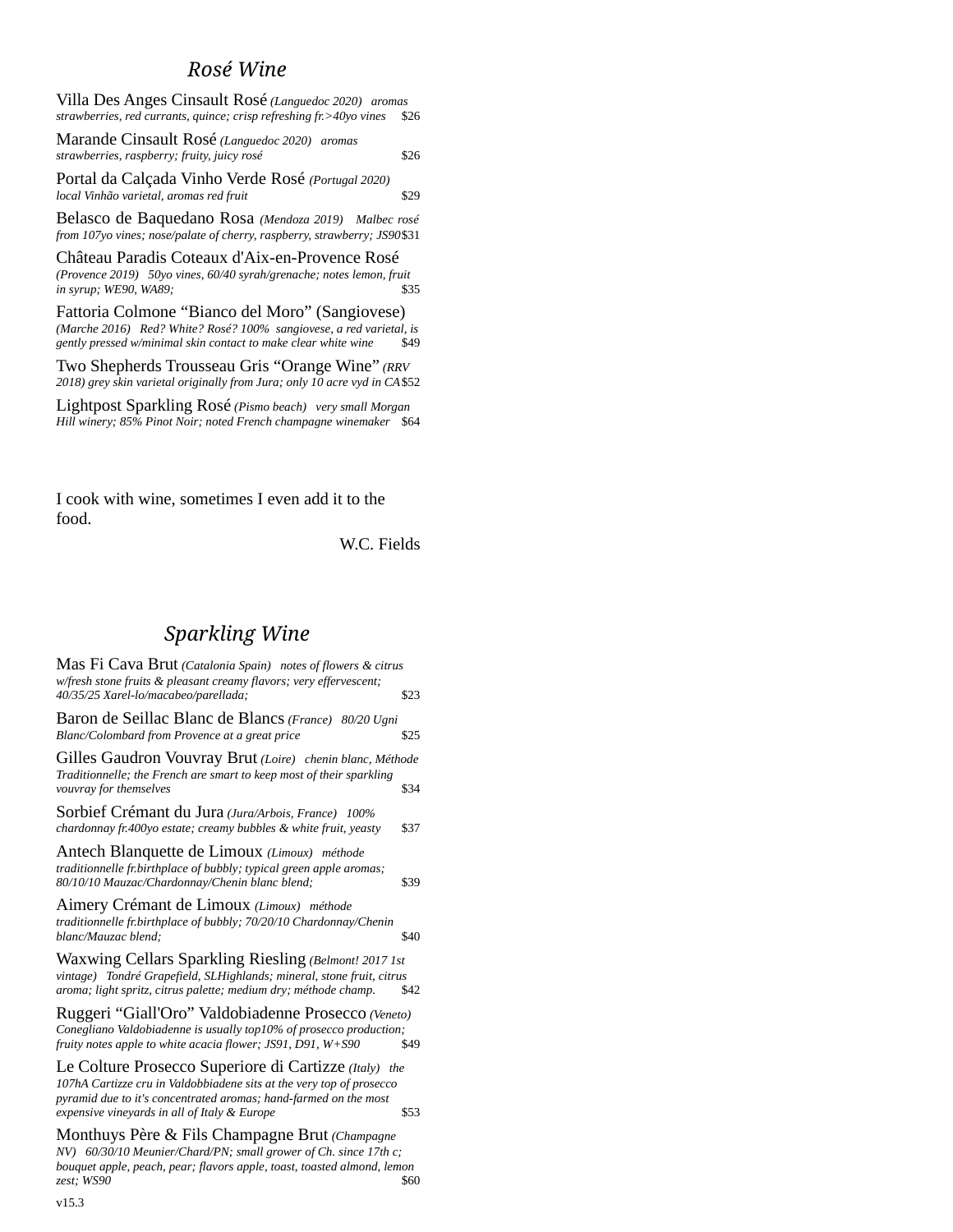#### *Rosé Wine*

Villa Des Anges Cinsault Rosé *(Languedoc 2020) aromas strawberries, red currants, quince; crisp refreshing fr.>40yo vines* \$26

Marande Cinsault Rosé *(Languedoc 2020) aromas strawberries, raspberry; fruity, juicy rosé* \$26

Portal da Calçada Vinho Verde Rosé *(Portugal 2020) local Vinhão varietal, aromas red fruit* \$29

Belasco de Baquedano Rosa *(Mendoza 2019) Malbec rosé from 107yo vines; nose/palate of cherry, raspberry, strawberry; JS90*\$31

Château Paradis Coteaux d'Aix-en-Provence Rosé *(Provence 2019) 50yo vines, 60/40 syrah/grenache; notes lemon, fruit in syrup; WE90, WA89;* 

Fattoria Colmone "Bianco del Moro" (Sangiovese) *(Marche 2016) Red? White? Rosé? 100% sangiovese, a red varietal, is gently pressed w/minimal skin contact to make clear white wine* \$49

Two Shepherds Trousseau Gris "Orange Wine" *(RRV 2018) grey skin varietal originally from Jura; only 10 acre vyd in CA*\$52

Lightpost Sparkling Rosé *(Pismo beach) very small Morgan Hill winery; 85% Pinot Noir; noted French champagne winemaker* \$64

I cook with wine, sometimes I even add it to the food.

W.C. Fields

### *Sparkling Wine*

| Mas Fi Cava Brut (Catalonia Spain) notes of flowers & citrus<br>w/fresh stone fruits & pleasant creamy flavors; very effervescent;<br>40/35/25 Xarel-lo/macabeo/parellada;                                                                        | \$23 |
|---------------------------------------------------------------------------------------------------------------------------------------------------------------------------------------------------------------------------------------------------|------|
| Baron de Seillac Blanc de Blancs (France) 80/20 Ugni<br>Blanc/Colombard from Provence at a great price                                                                                                                                            | \$25 |
| Gilles Gaudron Vouvray Brut (Loire) chenin blanc, Méthode<br>Traditionnelle; the French are smart to keep most of their sparkling<br>vouvray for themselves                                                                                       | \$34 |
| Sorbief Crémant du Jura (Jura/Arbois, France) 100%<br>chardonnay fr.400yo estate; creamy bubbles & white fruit, yeasty                                                                                                                            | \$37 |
| Antech Blanquette de Limoux (Limoux) méthode<br>traditionnelle fr.birthplace of bubbly; typical green apple aromas;<br>80/10/10 Mauzac/Chardonnay/Chenin blanc blend;                                                                             | \$39 |
| Aimery Crémant de Limoux (Limoux) méthode<br>traditionnelle fr.birthplace of bubbly; 70/20/10 Chardonnay/Chenin<br>blanc/Mauzac blend;                                                                                                            | \$40 |
| Waxwing Cellars Sparkling Riesling (Belmont! 2017 1st<br>vintage) Tondré Grapefield, SLHighlands; mineral, stone fruit, citrus<br>aroma; light spritz, citrus palette; medium dry; méthode champ.                                                 | \$42 |
| Ruggeri "Giall'Oro" Valdobiadenne Prosecco (Veneto)<br>Conegliano Valdobiadenne is usually top10% of prosecco production;<br>fruity notes apple to white acacia flower; JS91, D91, W+S90                                                          | \$49 |
| Le Colture Prosecco Superiore di Cartizze (Italy) the<br>107hA Cartizze cru in Valdobbiadene sits at the very top of prosecco<br>pyramid due to it's concentrated aromas; hand-farmed on the most<br>expensive vineyards in all of Italy & Europe | \$53 |
| Monthuys Père & Fils Champagne Brut (Champagne<br>NV) 60/30/10 Meunier/Chard/PN; small grower of Ch. since 17th c;<br>bouquet apple, peach, pear; flavors apple, toast, toasted almond, lemon<br>zest; WS90                                       | \$60 |
|                                                                                                                                                                                                                                                   |      |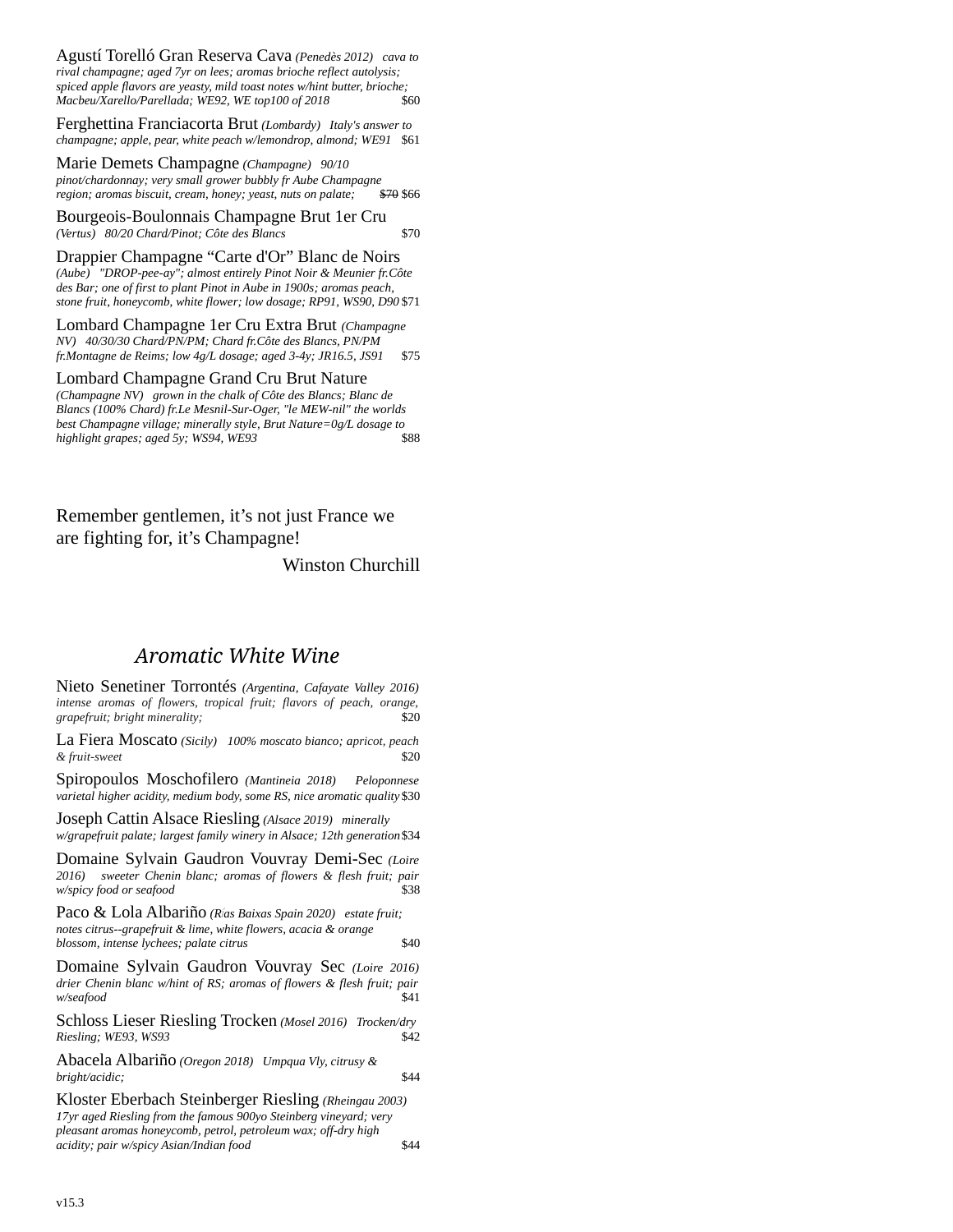Agustí Torelló Gran Reserva Cava *(Penedès 2012) cava to rival champagne; aged 7yr on lees; aromas brioche reflect autolysis; spiced apple flavors are yeasty, mild toast notes w/hint butter, brioche; Macbeu/Xarello/Parellada; WE92, WE top100 of 2018* \$60

Ferghettina Franciacorta Brut *(Lombardy) Italy's answer to champagne; apple, pear, white peach w/lemondrop, almond; WE91* \$61

Marie Demets Champagne *(Champagne) 90/10 pinot/chardonnay; very small grower bubbly fr Aube Champagne region; aromas biscuit, cream, honey; yeast, nuts on palate;* 

Bourgeois-Boulonnais Champagne Brut 1er Cru *(Vertus) 80/20 Chard/Pinot; Côte des Blancs* \$70

Drappier Champagne "Carte d'Or" Blanc de Noirs *(Aube) "DROP-pee-ay"; almost entirely Pinot Noir & Meunier fr.Côte des Bar; one of first to plant Pinot in Aube in 1900s; aromas peach, stone fruit, honeycomb, white flower; low dosage; RP91, WS90, D90* \$71

Lombard Champagne 1er Cru Extra Brut *(Champagne NV) 40/30/30 Chard/PN/PM; Chard fr.Côte des Blancs, PN/PM fr.Montagne de Reims; low 4g/L dosage; aged 3-4y; JR16.5, JS91* \$75

Lombard Champagne Grand Cru Brut Nature *(Champagne NV) grown in the chalk of Côte des Blancs; Blanc de Blancs (100% Chard) fr.Le Mesnil-Sur-Oger, "le MEW-nil" the worlds best Champagne village; minerally style, Brut Nature=0g/L dosage to highlight grapes; aged 5y; WS94, WE93* 

Remember gentlemen, it's not just France we are fighting for, it's Champagne!

Winston Churchill

#### *Aromatic White Wine*

Nieto Senetiner Torrontés *(Argentina, Cafayate Valley 2016) intense aromas of flowers, tropical fruit; flavors of peach, orange,*  $graphuit; bright minerality;$ 

La Fiera Moscato *(Sicily) 100% moscato bianco; apricot, peach*  $&$  fruit-sweet

Spiropoulos Moschofilero *(Mantineia 2018) Peloponnese varietal higher acidity, medium body, some RS, nice aromatic quality* \$30

Joseph Cattin Alsace Riesling *(Alsace 2019) minerally w/grapefruit palate; largest family winery in Alsace; 12th generation*\$34

Domaine Sylvain Gaudron Vouvray Demi-Sec *(Loire 2016) sweeter Chenin blanc; aromas of flowers & flesh fruit; pair*  $w$ /spicy food or seafood

Paco & Lola Albariño *(Rías Baixas Spain 2020) estate fruit; notes citrus--grapefruit & lime, white flowers, acacia & orange blossom, intense lychees; palate citrus* \$40

Domaine Sylvain Gaudron Vouvray Sec *(Loire 2016) drier Chenin blanc w/hint of RS; aromas of flowers & flesh fruit; pair w/seafood* \$41

Schloss Lieser Riesling Trocken *(Mosel 2016) Trocken/dry*  $Riesling; WE93, WS93$ 

Abacela Albariño *(Oregon 2018) Umpqua Vly, citrusy & bright/acidic;* \$44

Kloster Eberbach Steinberger Riesling *(Rheingau 2003) 17yr aged Riesling from the famous 900yo Steinberg vineyard; very pleasant aromas honeycomb, petrol, petroleum wax; off-dry high acidity; pair w/spicy Asian/Indian food* \$44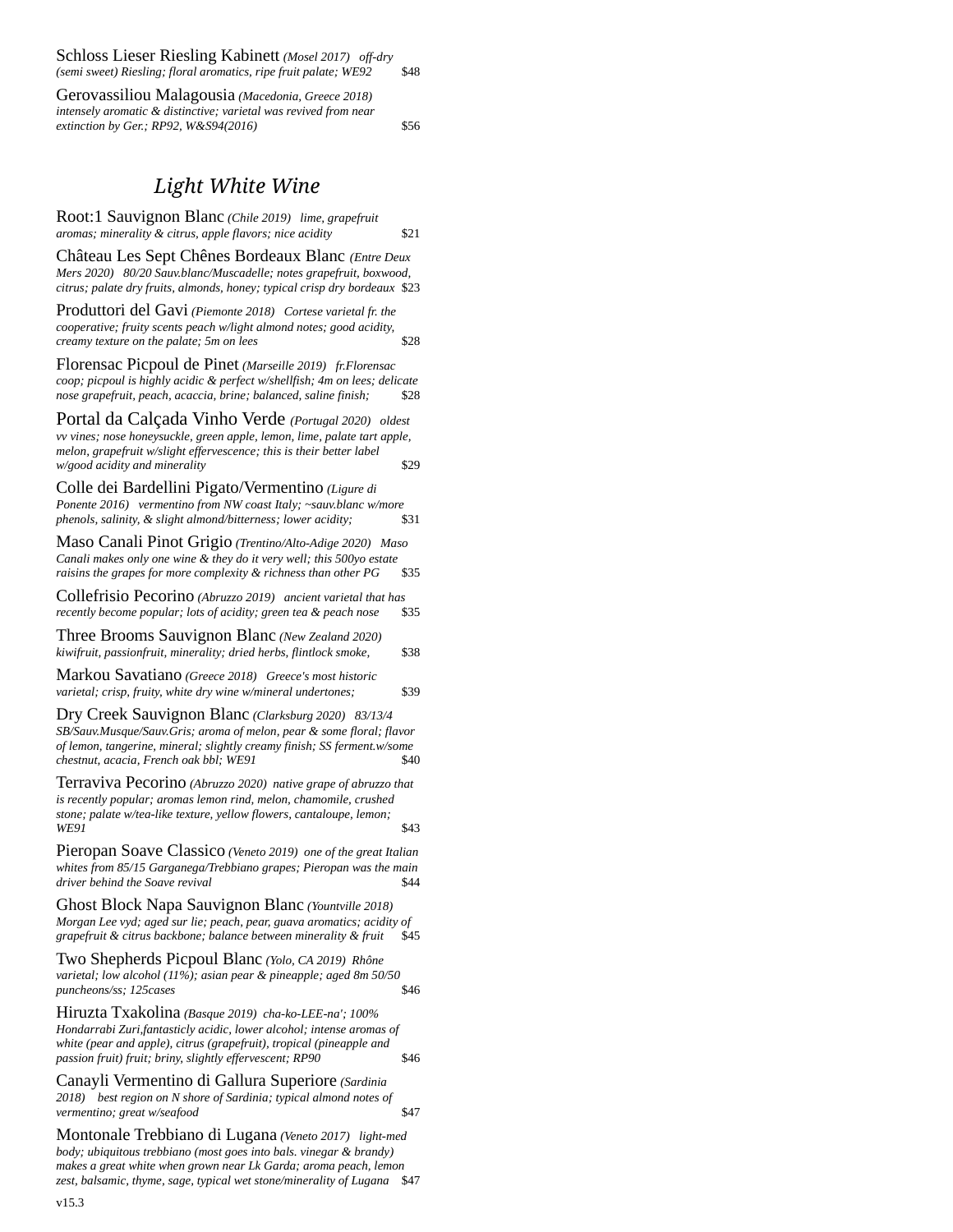| Schloss Lieser Riesling Kabinett (Mosel 2017) off-dry            |      |
|------------------------------------------------------------------|------|
| (semi sweet) Riesling; floral aromatics, ripe fruit palate; WE92 | \$48 |

Gerovassiliou Malagousia *(Macedonia, Greece 2018) intensely aromatic & distinctive; varietal was revived from near extinction by Ger.; RP92, W&S94(2016)* \$56

#### *Light White Wine*

Root:1 Sauvignon Blanc *(Chile 2019) lime, grapefruit aromas; minerality & citrus, apple flavors; nice acidity* \$21

Château Les Sept Chênes Bordeaux Blanc *(Entre Deux Mers 2020) 80/20 Sauv.blanc/Muscadelle; notes grapefruit, boxwood, citrus; palate dry fruits, almonds, honey; typical crisp dry bordeaux* \$23

Produttori del Gavi *(Piemonte 2018) Cortese varietal fr. the cooperative; fruity scents peach w/light almond notes; good acidity, creamy texture on the palate; 5m on lees* \$28

Florensac Picpoul de Pinet *(Marseille 2019) fr.Florensac coop; picpoul is highly acidic & perfect w/shellfish; 4m on lees; delicate nose grapefruit, peach, acaccia, brine; balanced, saline finish;* \$28

Portal da Calçada Vinho Verde *(Portugal 2020) oldest vv vines; nose honeysuckle, green apple, lemon, lime, palate tart apple, melon, grapefruit w/slight effervescence; this is their better label w/good acidity and minerality* \$29

Colle dei Bardellini Pigato/Vermentino *(Ligure di Ponente 2016) vermentino from NW coast Italy; ~sauv.blanc w/more phenols, salinity, & slight almond/bitterness; lower acidity;* \$31

Maso Canali Pinot Grigio *(Trentino/Alto-Adige 2020) Maso Canali makes only one wine & they do it very well; this 500yo estate raisins the grapes for more complexity & richness than other PG* \$35

Collefrisio Pecorino *(Abruzzo 2019) ancient varietal that has recently become popular; lots of acidity; green tea & peach nose* 

Three Brooms Sauvignon Blanc *(New Zealand 2020) kiwifruit, passionfruit, minerality; dried herbs, flintlock smoke,* \$38

Markou Savatiano *(Greece 2018) Greece's most historic varietal; crisp, fruity, white dry wine w/mineral undertones;* \$39

Dry Creek Sauvignon Blanc *(Clarksburg 2020) 83/13/4 SB/Sauv.Musque/Sauv.Gris; aroma of melon, pear & some floral; flavor of lemon, tangerine, mineral; slightly creamy finish; SS ferment.w/some chestnut, acacia, French oak bbl; WE91* \$40

Terraviva Pecorino *(Abruzzo 2020) native grape of abruzzo that is recently popular; aromas lemon rind, melon, chamomile, crushed stone; palate w/tea-like texture, yellow flowers, cantaloupe, lemon;*  **WE91** \$43

Pieropan Soave Classico *(Veneto 2019) one of the great Italian whites from 85/15 Garganega/Trebbiano grapes; Pieropan was the main driver behind the Soave revival* **\$44** 

Ghost Block Napa Sauvignon Blanc *(Yountville 2018) Morgan Lee vyd; aged sur lie; peach, pear, guava aromatics; acidity of grapefruit & citrus backbone; balance between minerality & fruit* \$45

Two Shepherds Picpoul Blanc *(Yolo, CA 2019) Rhône varietal; low alcohol (11%); asian pear & pineapple; aged 8m 50/50*   $p$ uncheons/ss; 125cases

Hiruzta Txakolina *(Basque 2019) cha-ko-LEE-na'; 100% Hondarrabi Zuri,fantasticly acidic, lower alcohol; intense aromas of white (pear and apple), citrus (grapefruit), tropical (pineapple and passion fruit) fruit; briny, slightly effervescent; RP90* \$46

Canayli Vermentino di Gallura Superiore *(Sardinia 2018) best region on N shore of Sardinia; typical almond notes of vermentino; great w/seafood* \$47

Montonale Trebbiano di Lugana *(Veneto 2017) light-med body; ubiquitous trebbiano (most goes into bals. vinegar & brandy) makes a great white when grown near Lk Garda; aroma peach, lemon zest, balsamic, thyme, sage, typical wet stone/minerality of Lugana* \$47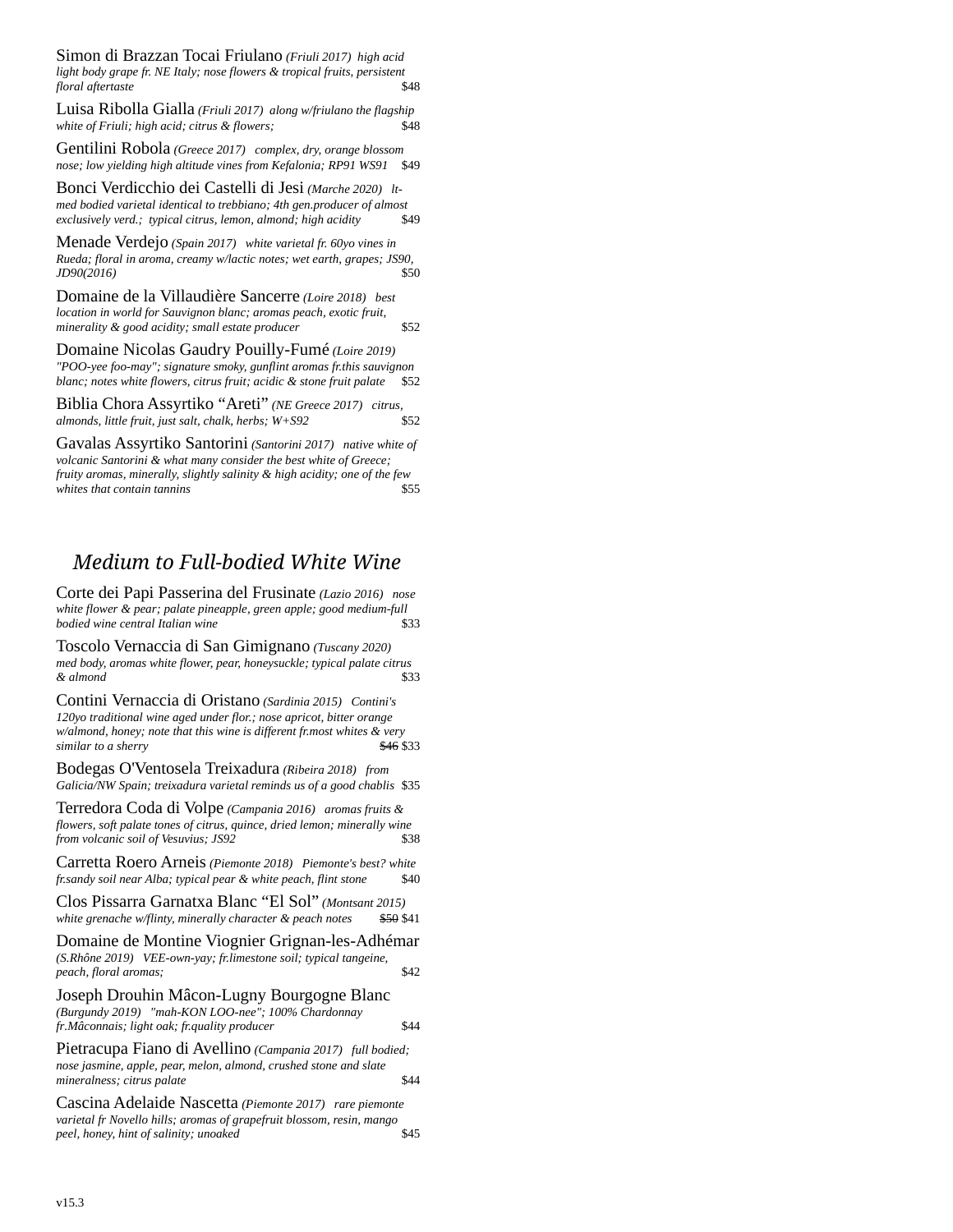Simon di Brazzan Tocai Friulano *(Friuli 2017) high acid light body grape fr. NE Italy; nose flowers & tropical fruits, persistent floral* aftertaste

Luisa Ribolla Gialla *(Friuli 2017) along w/friulano the flagship white of Friuli; high acid; citrus & flowers;* 

Gentilini Robola *(Greece 2017) complex, dry, orange blossom nose; low yielding high altitude vines from Kefalonia; RP91 WS91* 

Bonci Verdicchio dei Castelli di Jesi *(Marche 2020) ltmed bodied varietal identical to trebbiano; 4th gen.producer of almost exclusively verd.; typical citrus, lemon, almond; high acidity* \$49

Menade Verdejo *(Spain 2017) white varietal fr. 60yo vines in Rueda; floral in aroma, creamy w/lactic notes; wet earth, grapes; JS90, JD90(2016)* \$50

Domaine de la Villaudière Sancerre *(Loire 2018) best location in world for Sauvignon blanc; aromas peach, exotic fruit, minerality & good acidity; small estate producer* \$52

Domaine Nicolas Gaudry Pouilly-Fumé *(Loire 2019) "POO-yee foo-may"; signature smoky, gunflint aromas fr.this sauvignon blanc; notes white flowers, citrus fruit; acidic & stone fruit palate* 

Biblia Chora Assyrtiko "Areti" *(NE Greece 2017) citrus, almonds, little fruit, just salt, chalk, herbs; W+S92* \$52

Gavalas Assyrtiko Santorini *(Santorini 2017) native white of volcanic Santorini & what many consider the best white of Greece; fruity aromas, minerally, slightly salinity & high acidity; one of the few whites that contain tannins* \$55

### *Medium to Full-bodied White Wine*

Corte dei Papi Passerina del Frusinate *(Lazio 2016) nose white flower & pear; palate pineapple, green apple; good medium-full*   $b$ *odied wine central Italian wine* 

Toscolo Vernaccia di San Gimignano *(Tuscany 2020) med body, aromas white flower, pear, honeysuckle; typical palate citrus & almond* \$33

Contini Vernaccia di Oristano *(Sardinia 2015) Contini's 120yo traditional wine aged under flor.; nose apricot, bitter orange w/almond, honey; note that this wine is different fr.most whites & very similar to a sherry*  $\frac{$46}{333}$ 

Bodegas O'Ventosela Treixadura *(Ribeira 2018) from Galicia/NW Spain; treixadura varietal reminds us of a good chablis* \$35

Terredora Coda di Volpe *(Campania 2016) aromas fruits & flowers, soft palate tones of citrus, quince, dried lemon; minerally wine from volcanic soil of Vesuvius; JS92* \$38

Carretta Roero Arneis *(Piemonte 2018) Piemonte's best? white fr.sandy soil near Alba; typical pear & white peach, flint stone* 

Clos Pissarra Garnatxa Blanc "El Sol" *(Montsant 2015)*  white grenache w/flinty, minerally character & peach notes

Domaine de Montine Viognier Grignan-les-Adhémar *(S.Rhône 2019) VEE-own-yay; fr.limestone soil; typical tangeine, peach, floral aromas;* \$42

Joseph Drouhin Mâcon-Lugny Bourgogne Blanc *(Burgundy 2019) "mah-KON LOO-nee"; 100% Chardonnay fr[.Mâconnais](https://www.bourgogne-wines.com/our-wines-our-terroir/our-vineyards/the-maconnais/the-maconnais-the-southernmost-entry-point-to-the-bourgogne-winegrowing-region,2473,9317.html?); light oak; fr.quality producer* \$44

Pietracupa Fiano di Avellino *(Campania 2017) full bodied; nose jasmine, apple, pear, melon, almond, crushed stone and slate mineralness; citrus palate*  $$44$ 

Cascina Adelaide Nascetta *(Piemonte 2017) rare piemonte varietal fr Novello hills; aromas of grapefruit blossom, resin, mango peel, honey, hint of salinity; unoaked* \$45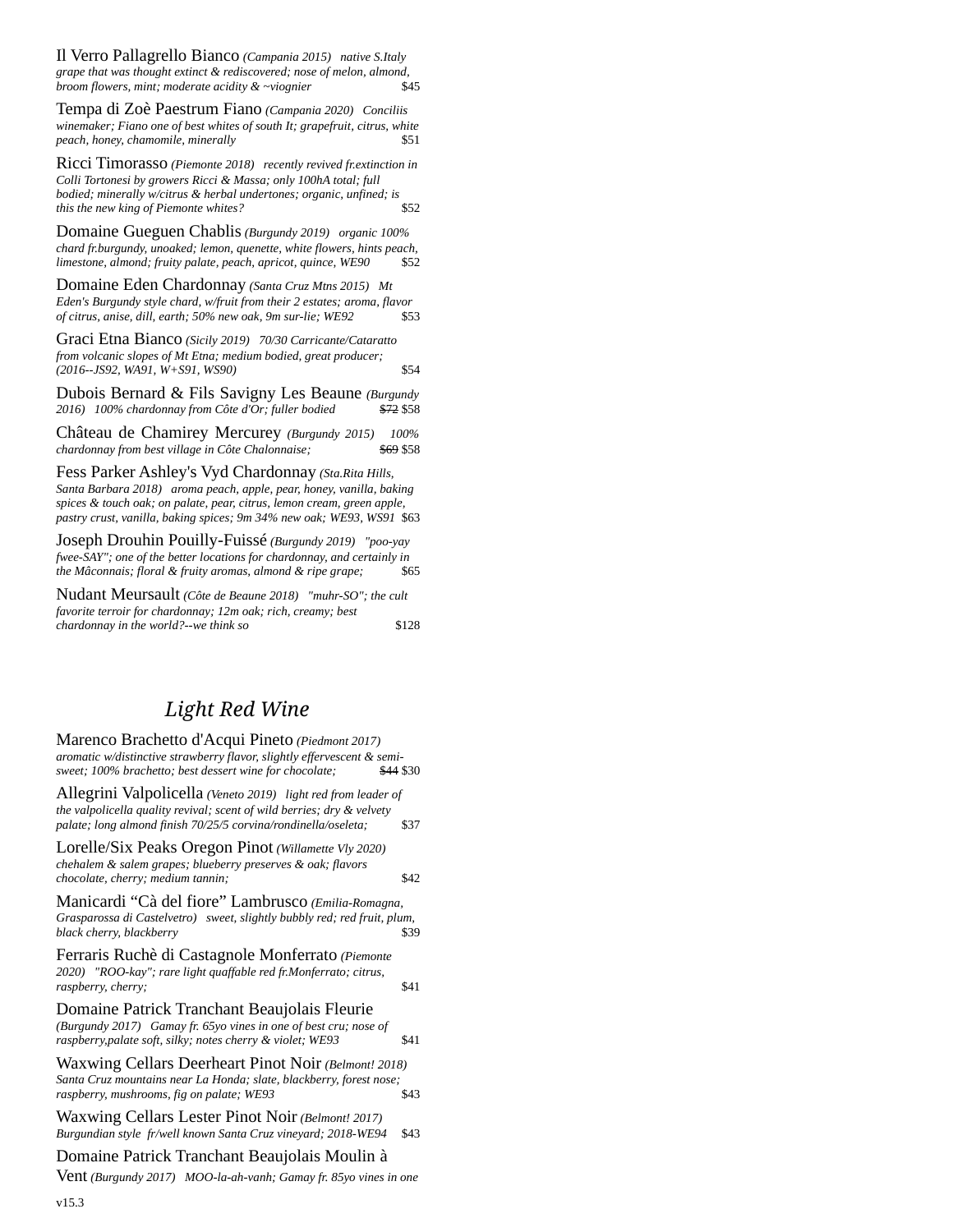Il Verro Pallagrello Bianco *(Campania 2015) native S.Italy grape that was thought extinct & rediscovered; nose of melon, almond, broom flowers, mint: moderate acidity &*  $\sim$ *vioanier \$45 broom flowers, mint; moderate acidity & ~viognier* 

Tempa di Zoè Paestrum Fiano *(Campania 2020) Conciliis winemaker; Fiano one of best whites of south It; grapefruit, citrus, white peach, honey, chamomile, minerally* **\$51** 

Ricci Timorasso *(Piemonte 2018) recently revived fr.extinction in Colli Tortonesi by growers Ricci & Massa; only 100hA total; full bodied; minerally w/citrus & herbal undertones; organic, unfined; is*  this the new king of Piemonte whites?

Domaine Gueguen Chablis *(Burgundy 2019) organic 100% chard fr.burgundy, unoaked; lemon, quenette, white flowers, hints peach, limestone, almond; fruity palate, peach, apricot, quince, WE90* \$52

Domaine Eden Chardonnay *(Santa Cruz Mtns 2015) Mt Eden's Burgundy style chard, w/fruit from their 2 estates; aroma, flavor of citrus, anise, dill, earth; 50% new oak, 9m sur-lie; WE92* \$53

Graci Etna Bianco *(Sicily 2019) 70/30 Carricante/Cataratto from volcanic slopes of Mt Etna; medium bodied, great producer; (2016--JS92, WA91, W+S91, WS90)* \$54

Dubois Bernard & Fils Savigny Les Beaune *(Burgundy* 2016) 100% chardonnay from Côte d'Or; fuller bodied

Château de Chamirey Mercurey *(Burgundy 2015) 100%*  $chardonnay from best village in Côte Chalonnaise;$ 

Fess Parker Ashley's Vyd Chardonnay *(Sta.Rita Hills, Santa Barbara 2018) aroma peach, apple, pear, honey, vanilla, baking spices & touch oak; on palate, pear, citrus, lemon cream, green apple, pastry crust, vanilla, baking spices; 9m 34% new oak; WE93, WS91* \$63

Joseph Drouhin Pouilly-Fuissé *(Burgundy 2019) "poo-yay fwee-SAY"; one of the better locations for chardonnay, and certainly in the Mâconnais: floral & fruity aromas almond & rine arane: the [Mâconnais](https://en.wikipedia.org/wiki/M%C3%A2connais); floral & fruity aromas, almond & ripe grape;* \$65

Nudant Meursault *(Côte de Beaune 2018) "muhr-SO"; the cult favorite terroir for chardonnay; 12m oak; rich, creamy; best chardonnay in the world?--we think so* \$128

### *Light Red Wine*

| Marenco Brachetto d'Acqui Pineto (Piedmont 2017)<br>aromatic w/distinctive strawberry flavor, slightly effervescent & semi-<br>sweet; 100% brachetto; best dessert wine for chocolate;                    | \$44 \$30 |
|-----------------------------------------------------------------------------------------------------------------------------------------------------------------------------------------------------------|-----------|
| Allegrini Valpolicella (Veneto 2019) light red from leader of<br>the valpolicella quality revival; scent of wild berries; dry & velvety<br>palate; long almond finish 70/25/5 corvina/rondinella/oseleta; | \$37      |
| Lorelle/Six Peaks Oregon Pinot (Willamette Vly 2020)<br>chehalem & salem grapes; blueberry preserves & oak; flavors<br>chocolate, cherry; medium tannin;                                                  | \$42      |
| Manicardi "Cà del fiore" Lambrusco (Emilia-Romagna,<br>Grasparossa di Castelvetro) sweet, slightly bubbly red; red fruit, plum,<br>black cherry, blackberry                                               | \$39      |
| Ferraris Ruchè di Castagnole Monferrato (Piemonte<br>2020) "ROO-kay"; rare light quaffable red fr.Monferrato; citrus,<br>raspberry, cherry;                                                               | \$41      |
| Domaine Patrick Tranchant Beaujolais Fleurie<br>(Burgundy 2017) Gamay fr. 65yo vines in one of best cru; nose of<br>raspberry, palate soft, silky; notes cherry & violet; WE93                            | \$41      |
| Waxwing Cellars Deerheart Pinot Noir (Belmont! 2018)<br>Santa Cruz mountains near La Honda; slate, blackberry, forest nose;<br>raspberry, mushrooms, fig on palate; WE93                                  | \$43      |
| Waxwing Cellars Lester Pinot Noir (Belmont! 2017)<br>Burgundian style fr/well known Santa Cruz vineyard; 2018-WE94                                                                                        | \$43      |
| Domaine Patrick Tranchant Beaujolais Moulin à<br>Vent (Burgundy 2017) MOO-la-ah-vanh; Gamay fr. 85yo vines in one                                                                                         |           |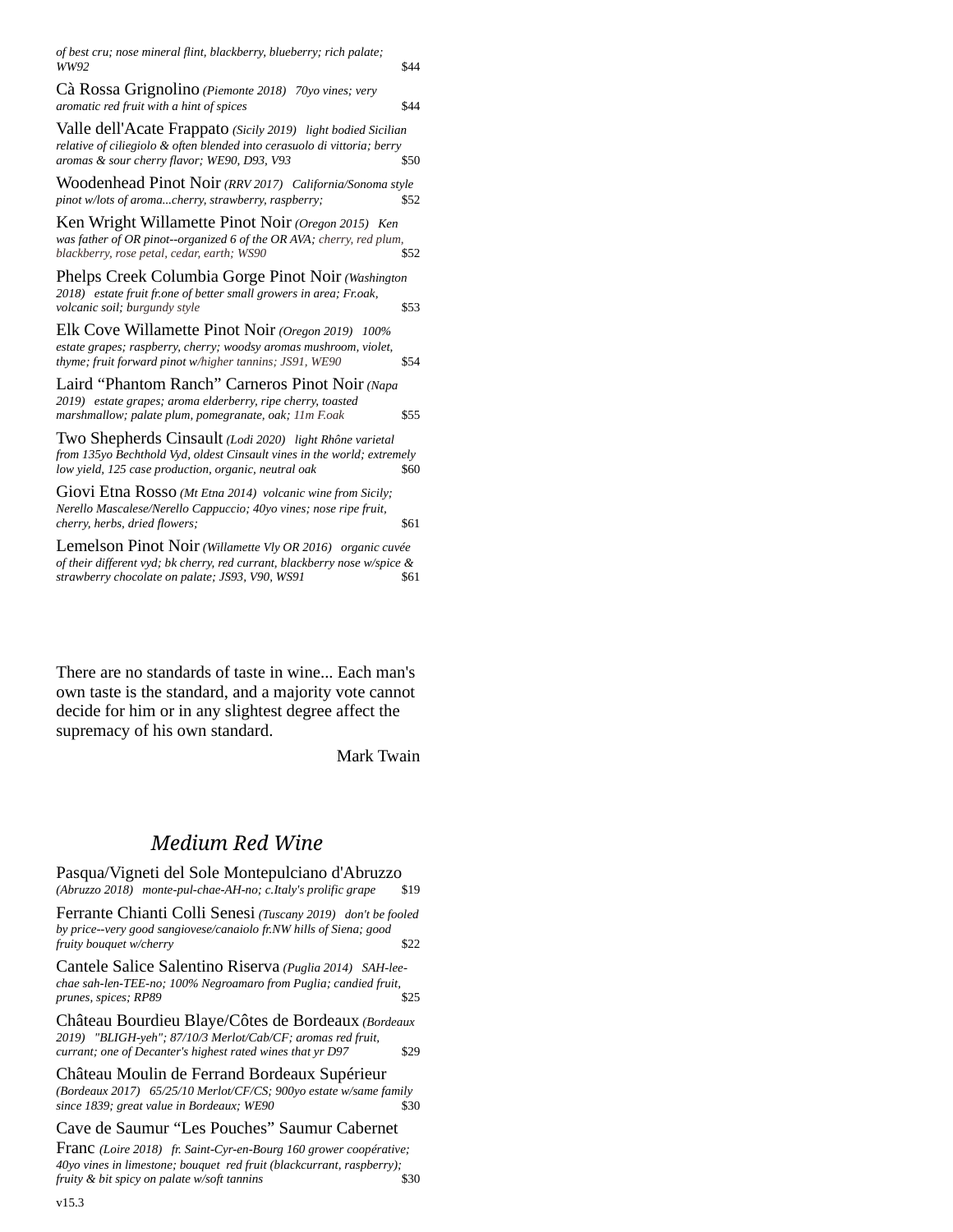*of best cru; nose mineral flint, blackberry, blueberry; rich palate;*  **WW92** \$44

Cà Rossa Grignolino *(Piemonte 2018) 70yo vines; very aromatic red fruit with a hint of spices* \$44

Valle dell'Acate Frappato *(Sicily 2019) light bodied Sicilian relative of ciliegiolo & often blended into cerasuolo di vittoria; berry aromas & sour cherry flavor; WE90, D93, V93* 

Woodenhead Pinot Noir *(RRV 2017) California/Sonoma style pinot w/lots of aroma...cherry, strawberry, raspberry;* 

Ken Wright Willamette Pinot Noir *(Oregon 2015) Ken was father of OR pinot--organized 6 of the OR AVA; cherry, red plum,*   $blackberry$ , rose petal, cedar, earth; WS90

Phelps Creek Columbia Gorge Pinot Noir *(Washington 2018) estate fruit fr.one of better small growers in area; Fr.oak, volcanic soil; burgundy style* \$53

Elk Cove Willamette Pinot Noir *(Oregon 2019) 100% estate grapes; raspberry, cherry; woodsy aromas mushroom, violet, thyme; fruit forward pinot w/higher tannins; JS91, WE90* \$54

Laird "Phantom Ranch" Carneros Pinot Noir *(Napa 2019) estate grapes; aroma elderberry, ripe cherry, toasted marshmallow; palate plum, pomegranate, oak; 11m F.oak* \$55

Two Shepherds Cinsault *(Lodi 2020) light Rhône varietal from 135yo Bechthold Vyd, oldest Cinsault vines in the world; extremely low yield, 125 case production, organic, neutral oak* \$60

Giovi Etna Rosso *(Mt Etna 2014) volcanic wine from Sicily; Nerello Mascalese/Nerello Cappuccio; 40yo vines; nose ripe fruit, cherry, herbs, dried flowers;*  $$61$ 

Lemelson Pinot Noir *(Willamette Vly OR 2016) organic cuvée of their different vyd; bk cherry, red currant, blackberry nose w/spice & strawberry chocolate on palate; JS93, V90, WS91* \$61

[There are no standards of taste in wine... Each man](https://www.azquotes.com/quote/547415)'s [own taste is the standard, and a majority vote cannot](https://www.azquotes.com/quote/547415)  decide for him or in any slightest degree affect the [supremacy of his own standard.](https://www.azquotes.com/quote/547415)

Mark Twain

#### *Medium Red Wine*

Pasqua/Vigneti del Sole Montepulciano d'Abruzzo<br>(Abruzzo 2018) monte-pul-chae-AH-no: c.Italy's prolific grape \$19 *(Abruzzo 2018) monte-pul-chae-AH-no; c.Italy's prolific grape* \$19

Ferrante Chianti Colli Senesi *(Tuscany 2019) don't be fooled by price--very good sangiovese/canaiolo fr.NW hills of Siena; good fruity bouquet w/cherry* \$22

Cantele Salice Salentino Riserva *(Puglia 2014) SAH-leechae sah-len-TEE-no; 100% Negroamaro from Puglia; candied fruit, prunes, spices; RP89* 

Château Bourdieu Blaye/Côtes de Bordeaux *(Bordeaux 2019) "BLIGH-yeh"; 87/10/3 Merlot/Cab/CF; aromas red fruit, currant; one of Decanter's highest rated wines that yr D97* \$29

Château Moulin de Ferrand Bordeaux Supérieur *(Bordeaux 2017) 65/25/10 Merlot/CF/CS; 900yo estate w/same family*  since 1839; great value in Bordeaux; WE90

#### Cave de Saumur "Les Pouches" Saumur Cabernet

Franc *(Loire 2018) fr. Saint-Cyr-en-Bourg 160 grower coopérative; 40yo vines in limestone; bouquet red fruit (blackcurrant, raspberry); fruity & bit spicy on palate w/soft tannins* \$30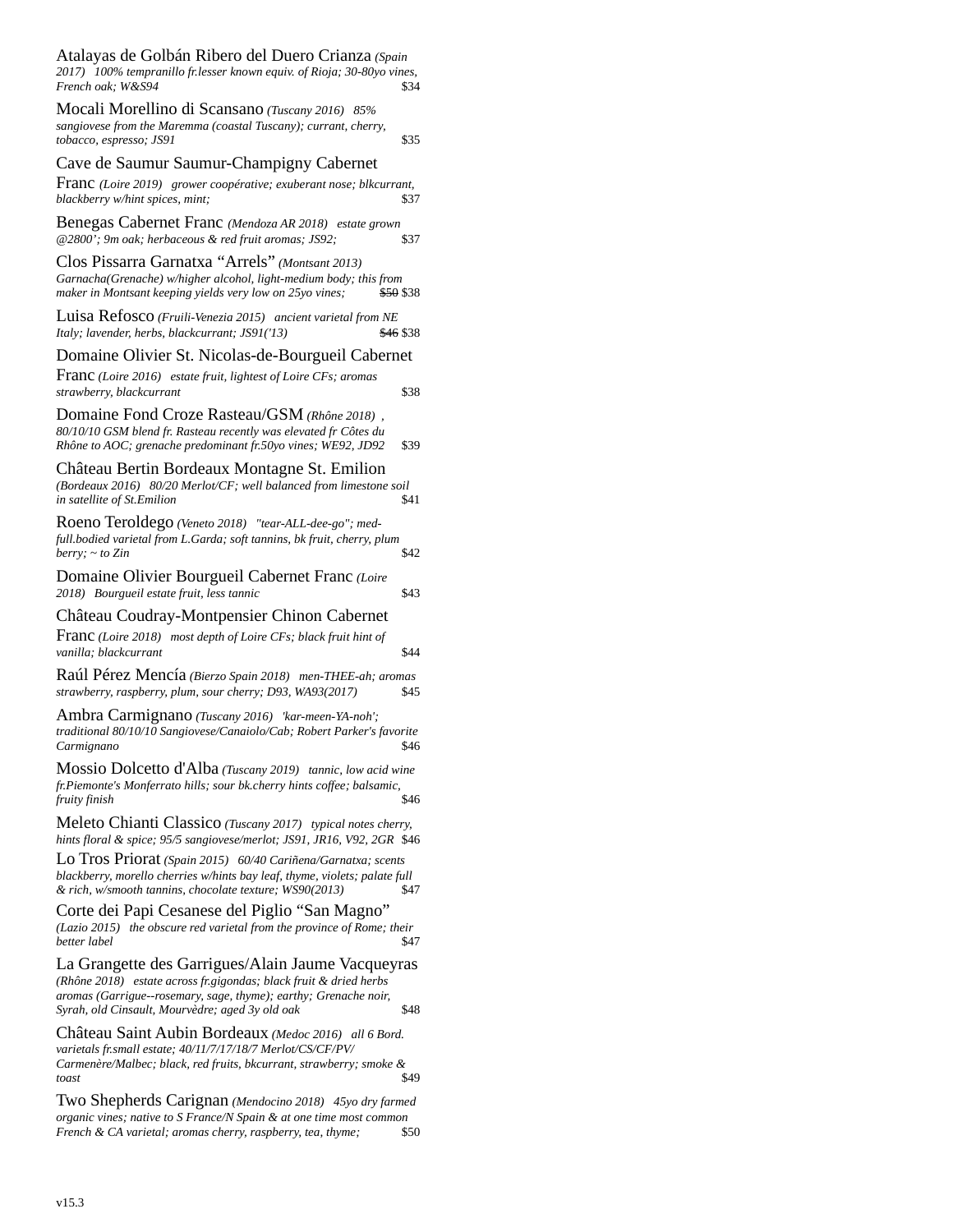| Atalayas de Golbán Ribero del Duero Crianza (Spain<br>2017) 100% tempranillo fr.lesser known equiv. of Rioja; 30-80yo vines,<br>French oak: W&S94                                                                                             | \$34      |
|-----------------------------------------------------------------------------------------------------------------------------------------------------------------------------------------------------------------------------------------------|-----------|
| Mocali Morellino di Scansano (Tuscany 2016) 85%<br>sangiovese from the Maremma (coastal Tuscany); currant, cherry,<br>tobacco, espresso; JS91                                                                                                 | \$35      |
| Cave de Saumur Saumur-Champigny Cabernet                                                                                                                                                                                                      |           |
| Franc (Loire 2019) grower coopérative; exuberant nose; blkcurrant,<br>blackberry w/hint spices, mint;                                                                                                                                         | \$37      |
| Benegas Cabernet Franc (Mendoza AR 2018) estate grown<br>@2800'; 9m oak; herbaceous & red fruit aromas; JS92;                                                                                                                                 | \$37      |
| Clos Pissarra Garnatxa "Arrels" (Montsant 2013)<br>Garnacha(Grenache) w/higher alcohol, light-medium body; this from<br>maker in Montsant keeping yields very low on 25yo vines;                                                              | \$50 \$38 |
| Luisa Refosco (Fruili-Venezia 2015) ancient varietal from NE<br>Italy; lavender, herbs, blackcurrant; JS91('13)                                                                                                                               | \$46 \$38 |
| Domaine Olivier St. Nicolas-de-Bourgueil Cabernet                                                                                                                                                                                             |           |
| Franc (Loire 2016) estate fruit, lightest of Loire CFs; aromas<br>strawberry, blackcurrant                                                                                                                                                    | \$38      |
| Domaine Fond Croze Rasteau/GSM (Rhône 2018),<br>80/10/10 GSM blend fr. Rasteau recently was elevated fr Côtes du<br>Rhône to AOC; grenache predominant fr.50yo vines; WE92, JD92                                                              | \$39      |
| Château Bertin Bordeaux Montagne St. Emilion<br>(Bordeaux 2016) 80/20 Merlot/CF; well balanced from limestone soil<br>in satellite of St.Emilion                                                                                              | \$41      |
| Roeno Teroldego (Veneto 2018) "tear-ALL-dee-go"; med-<br>full.bodied varietal from L.Garda; soft tannins, bk fruit, cherry, plum<br>berry; ~ to Zin                                                                                           | \$42      |
| Domaine Olivier Bourgueil Cabernet Franc (Loire<br>2018) Bourgueil estate fruit, less tannic                                                                                                                                                  | \$43      |
| Château Coudray-Montpensier Chinon Cabernet                                                                                                                                                                                                   |           |
| Franc (Loire 2018) most depth of Loire CFs; black fruit hint of<br>vanilla; blackcurrant                                                                                                                                                      | \$44      |
| Raúl Pérez Mencía (Bierzo Spain 2018) men-THEE-ah; aromas<br>strawberry, raspberry, plum, sour cherry; D93, WA93(2017)                                                                                                                        | \$45      |
| Ambra Carmignano (Tuscany 2016) 'kar-meen-YA-noh';<br>traditional 80/10/10 Sangiovese/Canaiolo/Cab; Robert Parker's favorite<br>Carmignano                                                                                                    | \$46      |
| Mossio Dolcetto d'Alba (Tuscany 2019) tannic, low acid wine<br>fr.Piemonte's Monferrato hills; sour bk.cherry hints coffee; balsamic,<br>fruity finish                                                                                        | \$46      |
| Meleto Chianti Classico (Tuscany 2017) typical notes cherry,<br>hints floral & spice; 95/5 sangiovese/merlot; JS91, JR16, V92, 2GR \$46                                                                                                       |           |
| Lo Tros Priorat (Spain 2015) 60/40 Cariñena/Garnatxa; scents<br>blackberry, morello cherries w/hints bay leaf, thyme, violets; palate full<br>& rich, w/smooth tannins, chocolate texture; WS90(2013)                                         | \$47      |
| Corte dei Papi Cesanese del Piglio "San Magno"<br>(Lazio 2015) the obscure red varietal from the province of Rome; their<br>better label                                                                                                      | \$47      |
| La Grangette des Garrigues/Alain Jaume Vacqueyras<br>(Rhône 2018) estate across fr.gigondas; black fruit & dried herbs<br>aromas (Garrigue--rosemary, sage, thyme); earthy; Grenache noir,<br>Syrah, old Cinsault, Mourvèdre; aged 3y old oak | \$48      |
| Château Saint Aubin Bordeaux (Medoc 2016) all 6 Bord.<br>varietals fr.small estate; 40/11/7/17/18/7 Merlot/CS/CF/PV/<br>Carmenère/Malbec; black, red fruits, bkcurrant, strawberry; smoke &<br>toast                                          | \$49      |
| m                                                                                                                                                                                                                                             |           |

Two Shepherds Carignan *(Mendocino 2018) 45yo dry farmed organic vines; native to S France/N Spain & at one time most common French & CA varietal; aromas cherry, raspberry, tea, thyme;* \$50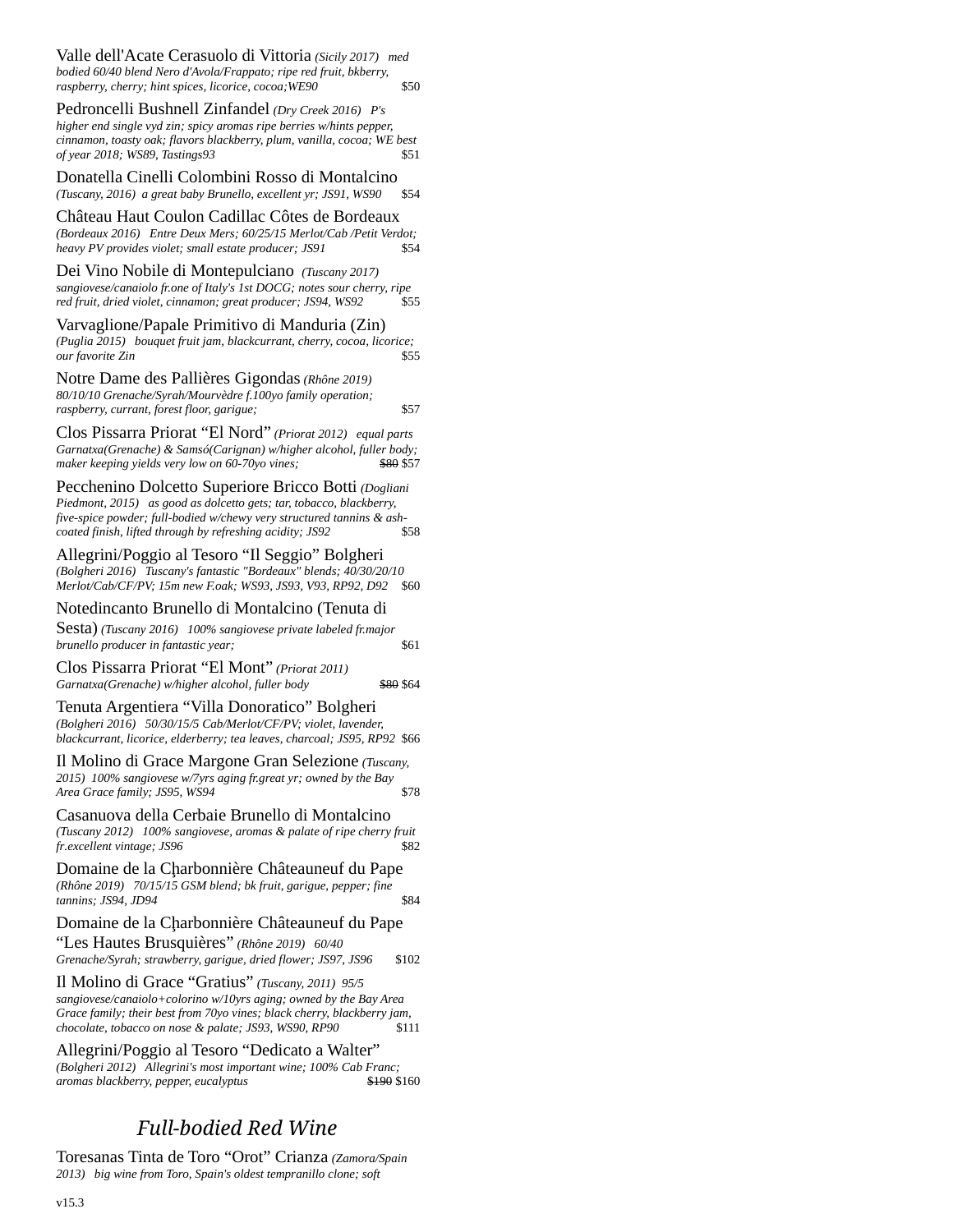Valle dell'Acate Cerasuolo di Vittoria *(Sicily 2017) med bodied 60/40 blend Nero d'Avola/Frappato; ripe red fruit, bkberry, raspberry, cherry; hint spices, licorice, cocoa;WE90* \$50

Pedroncelli Bushnell Zinfandel *(Dry Creek 2016) P's higher end single vyd zin; spicy aromas ripe berries w/hints pepper, cinnamon, toasty oak; flavors blackberry, plum, vanilla, cocoa; WE best of year 2018; WS89, Tastings93* \$51

Donatella Cinelli Colombini Rosso di Montalcino *(Tuscany, 2016) a great baby Brunello, excellent yr; JS91, WS90* \$54

[Château Haut Coulon Cadillac Côtes de Bordeaux](https://www.toasttab.com/restaurants/admin/menus/menuitem?groupId=200000007828847909&id=200000008605160496) *(Bordeaux 2016) Entre Deux Mers; 60/25/15 Merlot/Cab /Petit Verdot; heavy PV provides violet; small estate producer; JS91* \$54

Dei Vino Nobile di Montepulciano *(Tuscany 2017) sangiovese/canaiolo fr.one of Italy's 1st DOCG; notes sour cherry, ripe*   $red$  fruit, dried violet, cinnamon; great producer; JS94, WS92

Varvaglione/Papale Primitivo di Manduria (Zin) *(Puglia 2015) bouquet fruit jam, blackcurrant, cherry, cocoa, licorice; our favorite Zin* \$55

Notre Dame des Pallières Gigondas *(Rhône 2019) 80/10/10 Grenache/Syrah/Mourvèdre f.100yo family operation; raspberry, currant, forest floor, garigue;* \$57

Clos Pissarra Priorat "El Nord" *(Priorat 2012) equal parts Garnatxa(Grenache) & Samsó(Carignan) w/higher alcohol, fuller body;* maker keeping yields very low on 60-70yo vines;

Pecchenino Dolcetto Superiore Bricco Botti *(Dogliani Piedmont, 2015) as good as dolcetto gets; tar, tobacco, blackberry, five-spice powder; full-bodied w/chewy very structured tannins & ashcoated finish, lifted through by refreshing acidity; JS92* \$58

Allegrini/Poggio al Tesoro "Il Seggio" Bolgheri *(Bolgheri 2016) Tuscany's fantastic "Bordeaux" blends; 40/30/20/10 Merlot/Cab/CF/PV; 15m new F.oak; WS93, JS93, V93, RP92, D92* \$60

Notedincanto Brunello di Montalcino (Tenuta di

Sesta) *(Tuscany 2016) 100% sangiovese private labeled fr.major brunello producer in fantastic year;*  $$61$ 

Clos Pissarra Priorat "El Mont" *(Priorat 2011) Garnatxa(Grenache) w/higher alcohol, fuller body* \$80 \$64

Tenuta Argentiera "Villa Donoratico" Bolgheri *(Bolgheri 2016) 50/30/15/5 Cab/Merlot/CF/PV; violet, lavender, blackcurrant, licorice, elderberry; tea leaves, charcoal; JS95, RP92* \$66

Il Molino di Grace Margone Gran Selezione *(Tuscany, 2015) 100% sangiovese w/7yrs aging fr.great yr; owned by the Bay Area Grace family; JS95, WS94* \$78

Casanuova della Cerbaie Brunello di Montalcino *(Tuscany 2012) 100% sangiovese, aromas & palate of ripe cherry fruit*   $fr.excellent$  vintage; JS96

Domaine de la Cḩarbonnière [Châteaun](https://www.toasttab.com/restaurants/admin/menus/menuitem?groupId=200000007828847909&id=200000008605160496)euf du Pape *(Rhône 2019) 70/15/15 GSM blend; bk fruit, garigue, pepper; fine*  **tannins; JS94, JD94** \$84

Domaine de la Cḩarbonnière [Châteaun](https://www.toasttab.com/restaurants/admin/menus/menuitem?groupId=200000007828847909&id=200000008605160496)euf du Pape "Les Hautes Brusquières" *(Rhône 2019) 60/40 Grenache/Syrah; strawberry, garigue, dried flower; JS97, JS96* \$102

Il Molino di Grace "Gratius" *(Tuscany, 2011) 95/5 sangiovese/canaiolo+colorino w/10yrs aging; owned by the Bay Area Grace family; their best from 70yo vines; black cherry, blackberry jam, chocolate, tobacco on nose & palate; JS93, WS90, RP90* \$111

Allegrini/Poggio al Tesoro "Dedicato a Walter" *(Bolgheri 2012) Allegrini's most important wine; 100% Cab Franc; aromas blackberry, pepper, eucalyptus* \$190 \$160

# *Full-bodied Red Wine*

Toresanas Tinta de Toro "Orot" Crianza *(Zamora/Spain 2013) big wine from Toro, Spain's oldest tempranillo clone; soft*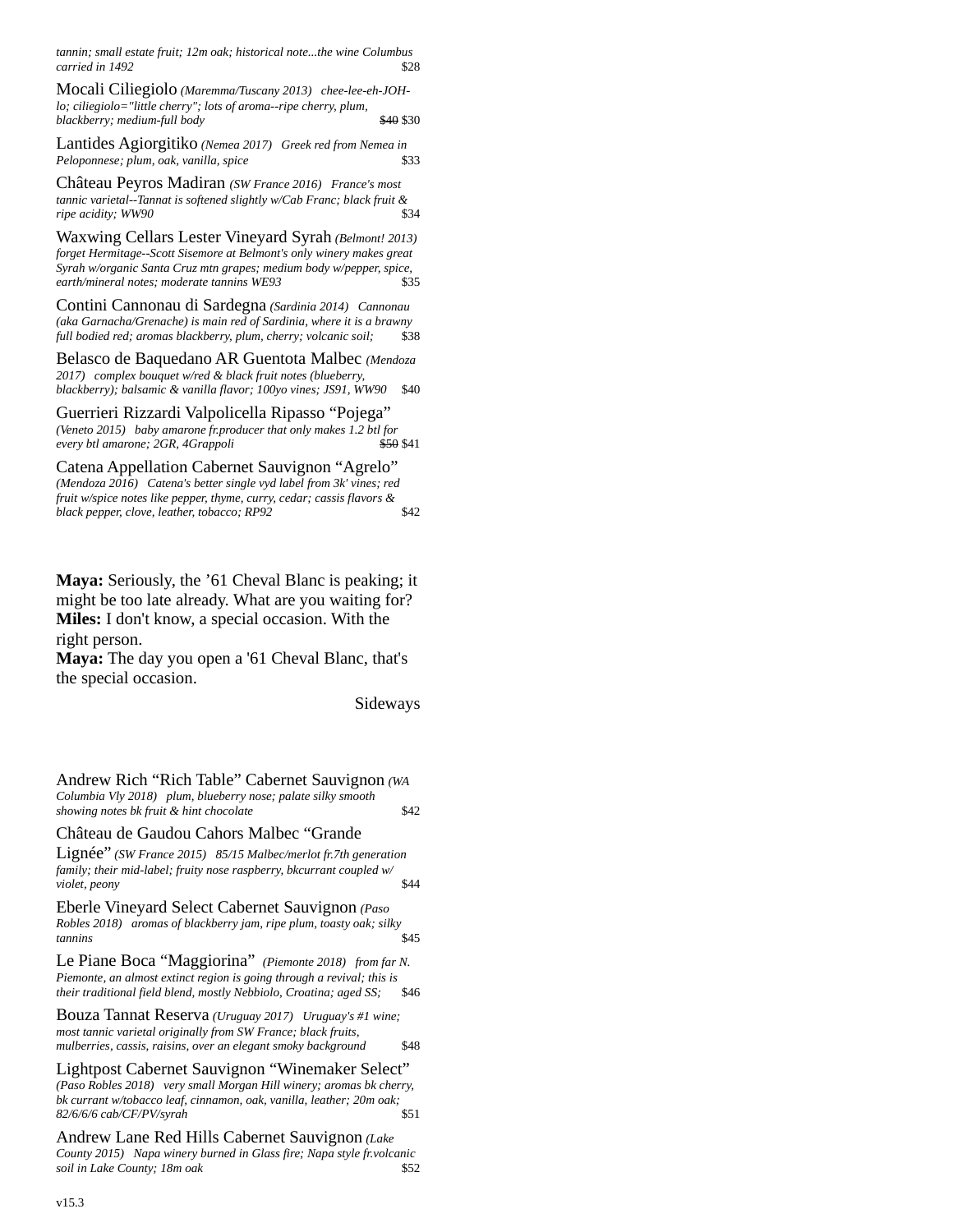*tannin; small estate fruit; 12m oak; historical note...the wine Columbus carried in 1492* \$28

Mocali Ciliegiolo *(Maremma/Tuscany 2013) chee-lee-eh-JOHlo; ciliegiolo="little cherry"; lots of aroma--ripe cherry, plum, blackberry; medium-full body* **\$40 \$30** 

Lantides Agiorgitiko *(Nemea 2017) Greek red from Nemea in Peloponnese; plum, oak, vanilla, spice* \$33

[Château](https://www.toasttab.com/restaurants/admin/menus/menuitem?groupId=200000007828847909&id=200000008605160496) Peyros Madiran *(SW France 2016) France's most tannic varietal--Tannat is softened slightly w/Cab Franc; black fruit &*   $ripe$  *acidity*; WW90

Waxwing Cellars Lester Vineyard Syrah *(Belmont! 2013) forget Hermitage--Scott Sisemore at Belmont's only winery makes great Syrah w/organic Santa Cruz mtn grapes; medium body w/pepper, spice,*   $earth/mineral notes; moderate tannins WE93$ 

Contini Cannonau di Sardegna *(Sardinia 2014) Cannonau (aka Garnacha/Grenache) is main red of Sardinia, where it is a brawny full bodied red; aromas blackberry, plum, cherry; volcanic soil;* \$38

Belasco de Baquedano AR Guentota Malbec *(Mendoza 2017) complex bouquet w/red & black fruit notes (blueberry, blackberry); balsamic & vanilla flavor; 100yo vines; JS91, WW90* \$40

Guerrieri Rizzardi Valpolicella Ripasso "Pojega" *(Veneto 2015) baby amarone fr.producer that only makes 1.2 btl for*   $every$  btl amarone; 2GR, 4Grappoli

Catena Appellation Cabernet Sauvignon "Agrelo" *(Mendoza 2016) Catena's better single vyd label from 3k' vines; red fruit w/spice notes like pepper, thyme, curry, cedar; cassis flavors & black pepper, clove, leather, tobacco; RP92* \$42

**Maya:** Seriously, the '61 Cheval Blanc is peaking; it might be too late already. What are you waiting for? **Miles:** I don't know, a special occasion. With the right person.

**Maya:** The day you open a '61 Cheval Blanc, that's the special occasion.

Sideways

Andrew Rich "Rich Table" Cabernet Sauvignon *(WA Columbia Vly 2018) plum, blueberry nose; palate silky smooth showing notes bk fruit & hint chocolate* \$42

[Château](https://www.toasttab.com/restaurants/admin/menus/menuitem?groupId=200000007828847909&id=200000008605160496) de Gaudou Cahors Malbec "Grande

Lignée" *(SW France 2015) 85/15 Malbec/merlot fr.7th generation family; their mid-label; fruity nose raspberry, bkcurrant coupled w/ violet, peony* \$44

Eberle Vineyard Select Cabernet Sauvignon *(Paso Robles 2018) aromas of blackberry jam, ripe plum, toasty oak; silky tannins* \$45

Le Piane Boca "Maggiorina" *(Piemonte 2018) from far N. Piemonte, an almost extinct region is going through a revival; this is their traditional field blend, mostly Nebbiolo, Croatina; aged SS;* \$46

Bouza Tannat Reserva *(Uruguay 2017) Uruguay's #1 wine; most tannic varietal originally from SW France; black fruits, mulberries, cassis, raisins, over an elegant smoky background* \$48

Lightpost Cabernet Sauvignon "Winemaker Select" *(Paso Robles 2018) very small Morgan Hill winery; aromas bk cherry, bk currant w/tobacco leaf, cinnamon, oak, vanilla, leather; 20m oak; 82/6/6/6 cab/CF/PV/syrah* \$51

Andrew Lane Red Hills Cabernet Sauvignon *(Lake County 2015) Napa winery burned in Glass fire; Napa style fr.volcanic soil in Lake County; 18m oak* \$52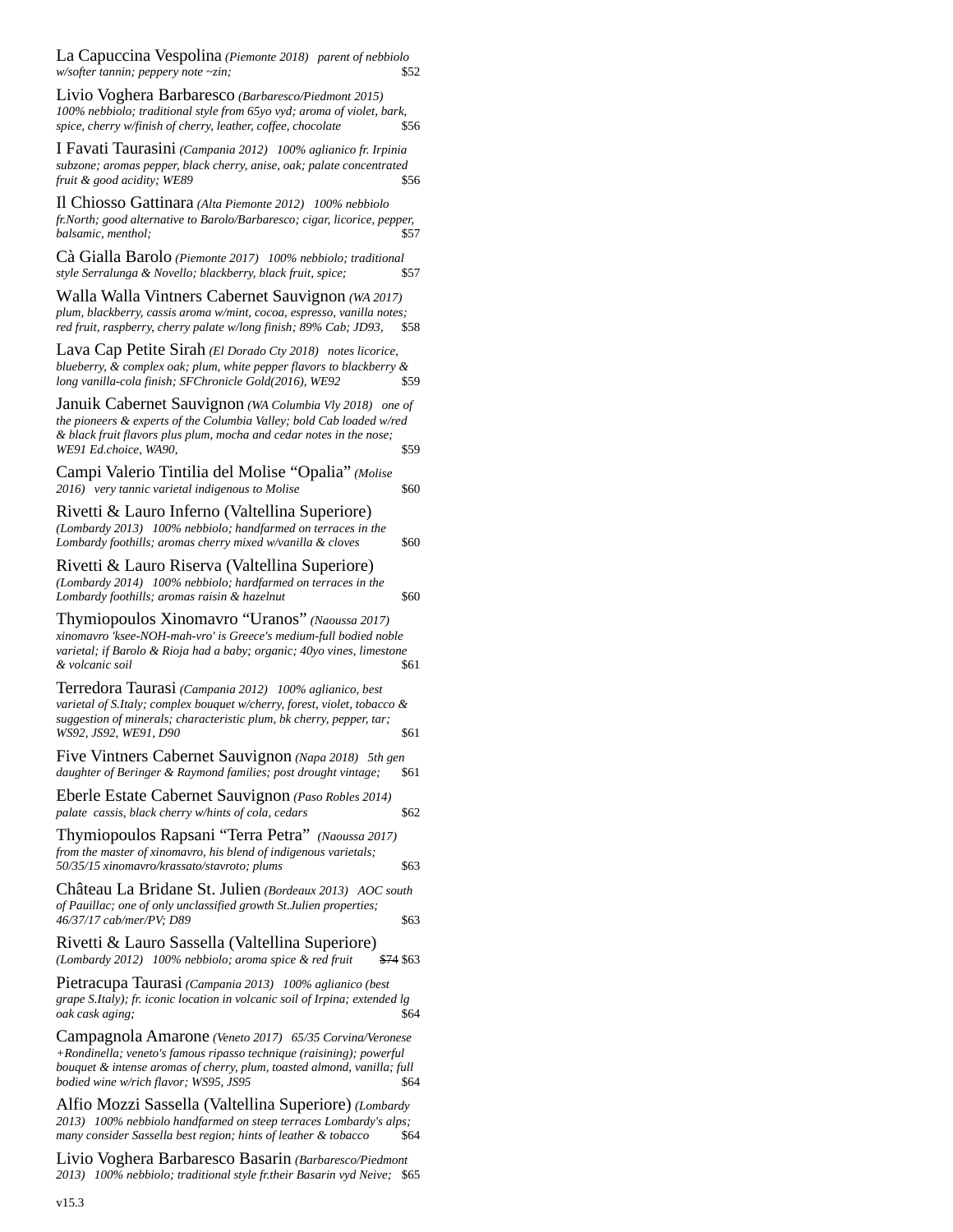La Capuccina Vespolina *(Piemonte 2018) parent of nebbiolo w/softer tannin; peppery note ~zin;* 

Livio Voghera Barbaresco *(Barbaresco/Piedmont 2015) 100% nebbiolo; traditional style from 65yo vyd; aroma of violet, bark, spice, cherry w/finish of cherry, leather, coffee, chocolate* \$56

I Favati Taurasini *(Campania 2012) 100% aglianico fr. Irpinia subzone; aromas pepper, black cherry, anise, oak; palate concentrated fruit & good acidity; WE89* \$56

Il Chiosso Gattinara *(Alta Piemonte 2012) 100% nebbiolo fr.North; good alternative to Barolo/Barbaresco; cigar, licorice, pepper, balsamic, menthol;* \$57

Cà Gialla Barolo *(Piemonte 2017) 100% nebbiolo; traditional style Serralunga & Novello; blackberry, black fruit, spice;* \$57

Walla Walla Vintners Cabernet Sauvignon *(WA 2017) plum, blackberry, cassis aroma w/mint, cocoa, espresso, vanilla notes; red fruit, raspberry, cherry palate w/long finish; 89% Cab; JD93,* 

Lava Cap Petite Sirah *(El Dorado Cty 2018) notes licorice, blueberry, & complex oak; plum, white pepper flavors to blackberry & long vanilla-cola finish; SFChronicle Gold(2016), WE92* 

Januik Cabernet Sauvignon *(WA Columbia Vly 2018) one of the pioneers & experts of the Columbia Valley; bold Cab loaded w/red & black fruit flavors plus plum, mocha and cedar notes in the nose; WE91 Ed.choice, WA90,* \$59 Campi Valerio Tintilia del Molise "Opalia" *(Molise 2016) very tannic varietal indigenous to Molise* \$60 Rivetti & Lauro Inferno (Valtellina Superiore) *(Lombardy 2013) 100% nebbiolo; handfarmed on terraces in the*  Lombardy foothills; aromas cherry mixed w/vanilla & cloves \$60 Rivetti & Lauro Riserva (Valtellina Superiore) *(Lombardy 2014) 100% nebbiolo; hardfarmed on terraces in the Lombardy foothills; aromas raisin & hazelnut* **\$60** Thymiopoulos Xinomavro "Uranos" *(Naoussa 2017) xinomavro 'ksee-NOH-mah-vro' is Greece's medium-full bodied noble varietal; if Barolo & Rioja had a baby; organic; 40yo vines, limestone*   $&$  volcanic soil Terredora Taurasi *(Campania 2012) 100% aglianico, best varietal of S.Italy; complex bouquet w/cherry, forest, violet, tobacco & suggestion of minerals; characteristic plum, bk cherry, pepper, tar; WS92, JS92, WE91, D90* \$61 Five Vintners Cabernet Sauvignon *(Napa 2018) 5th gen daughter of Beringer & Raymond families; post drought vintage;* Eberle Estate Cabernet Sauvignon *(Paso Robles 2014) palate cassis, black cherry w/hints of cola, cedars* \$62 Thymiopoulos Rapsani "Terra Petra" *(Naoussa 2017) from the master of xinomavro, his blend of indigenous varietals; 50/35/15 xinomavro/krassato/stavroto; plums* \$63 Château La Bridane St. Julien *(Bordeaux 2013) AOC south of Pauillac; one of only unclassified growth St.Julien properties;*  46/37/17 cab/mer/PV; D89 \$63 Rivetti & Lauro Sassella (Valtellina Superiore) *(Lombardy 2012) 100% nebbiolo; aroma spice & red fruit* \$74 \$63 Pietracupa Taurasi *(Campania 2013) 100% aglianico (best* 

*grape S.Italy); fr. iconic location in volcanic soil of Irpina; extended lg oak cask aging;* \$64

Campagnola Amarone *(Veneto 2017) 65/35 Corvina/Veronese +Rondinella; veneto's famous ripasso technique (raisining); powerful bouquet & intense aromas of cherry, plum, toasted almond, vanilla; full bodied wine w/rich flavor; WS95, JS95*  $$64$ 

Alfio Mozzi Sassella (Valtellina Superiore) *(Lombardy 2013) 100% nebbiolo handfarmed on steep terraces Lombardy's alps; many consider Sassella best region; hints of leather & tobacco* \$64

Livio Voghera Barbaresco Basarin *(Barbaresco/Piedmont 2013) 100% nebbiolo; traditional style fr.their Basarin vyd Neive;* \$65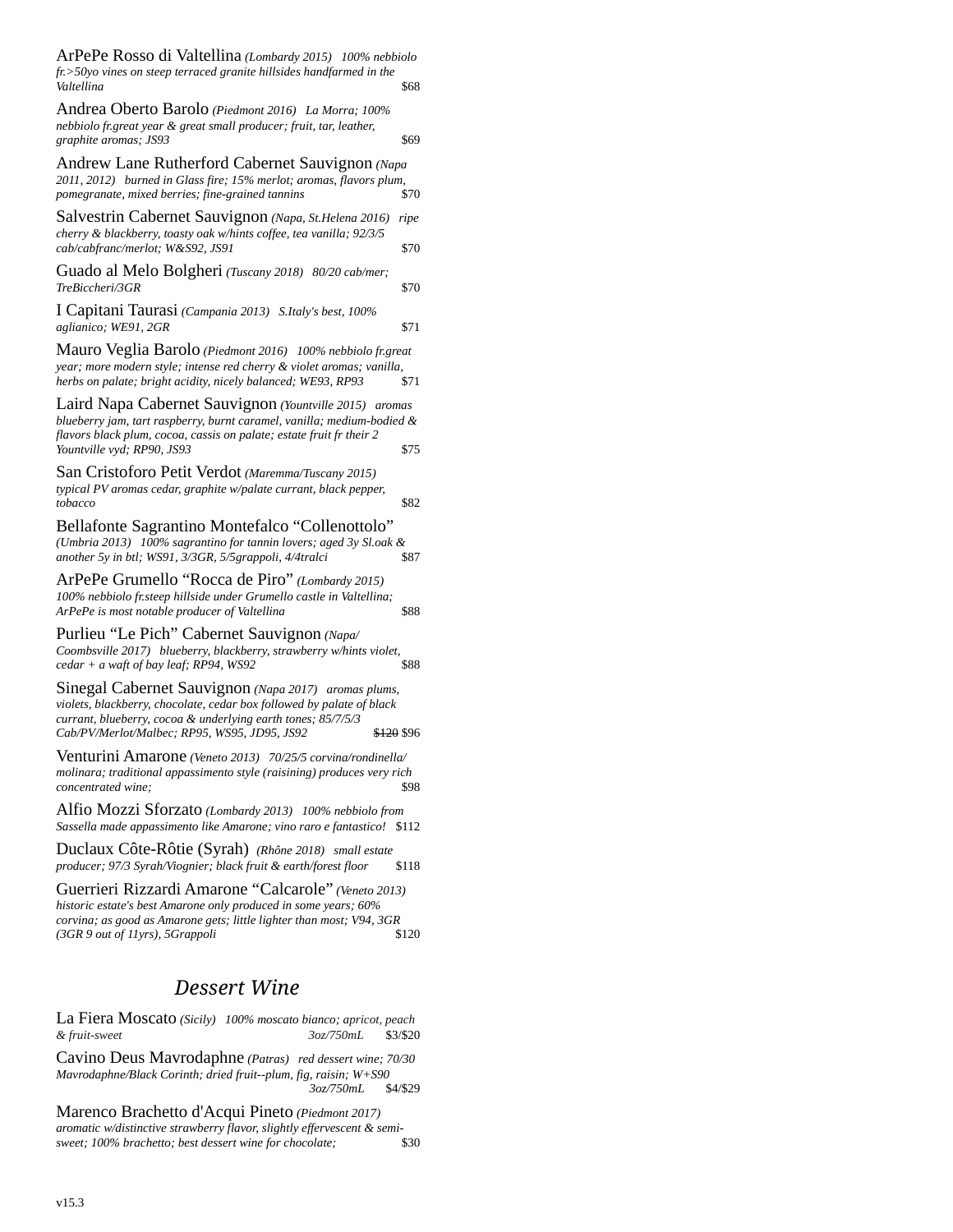| ArPePe Rosso di Valtellina (Lombardy 2015) 100% nebbiolo<br>fr.>50yo vines on steep terraced granite hillsides handfarmed in the<br>Valtellina                                                                                                              | \$68         |  |
|-------------------------------------------------------------------------------------------------------------------------------------------------------------------------------------------------------------------------------------------------------------|--------------|--|
| Andrea Oberto Barolo (Piedmont 2016) La Morra; 100%<br>nebbiolo fr.great year & great small producer; fruit, tar, leather,<br>graphite aromas; JS93                                                                                                         | \$69         |  |
| Andrew Lane Rutherford Cabernet Sauvignon (Napa<br>2011, 2012) burned in Glass fire; 15% merlot; aromas, flavors plum,<br>pomegranate, mixed berries; fine-grained tannins                                                                                  | \$70         |  |
| Salvestrin Cabernet Sauvignon (Napa, St.Helena 2016)<br>cherry & blackberry, toasty oak w/hints coffee, tea vanilla; 92/3/5<br>cab/cabfranc/merlot; W&S92, JS91                                                                                             | ripe<br>\$70 |  |
| Guado al Melo Bolgheri (Tuscany 2018) 80/20 cab/mer;<br>TreBiccheri/3GR                                                                                                                                                                                     | \$70         |  |
| I Capitani Taurasi (Campania 2013) S.Italy's best, 100%<br>aglianico; WE91, 2GR                                                                                                                                                                             | \$71         |  |
| Mauro Veglia Barolo (Piedmont 2016) 100% nebbiolo fr.great<br>year; more modern style; intense red cherry & violet aromas; vanilla,<br>herbs on palate; bright acidity, nicely balanced; WE93, RP93                                                         | \$71         |  |
| Laird Napa Cabernet Sauvignon (Yountville 2015) aromas<br>blueberry jam, tart raspberry, burnt caramel, vanilla; medium-bodied &<br>flavors black plum, cocoa, cassis on palate; estate fruit fr their 2<br>Yountville vyd; RP90, JS93                      | \$75         |  |
| San Cristoforo Petit Verdot (Maremma/Tuscany 2015)<br>typical PV aromas cedar, graphite w/palate currant, black pepper,<br>tobacco                                                                                                                          | \$82         |  |
| Bellafonte Sagrantino Montefalco "Collenottolo"<br>(Umbria 2013) 100% sagrantino for tannin lovers; aged 3y Sl.oak &<br>another 5y in btl; WS91, 3/3GR, 5/5grappoli, 4/4tralci                                                                              | \$87         |  |
| ArPePe Grumello "Rocca de Piro" (Lombardy 2015)<br>100% nebbiolo fr.steep hillside under Grumello castle in Valtellina;<br>ArPePe is most notable producer of Valtellina                                                                                    | \$88         |  |
| Purlieu "Le Pich" Cabernet Sauvignon (Napa/<br>Coombsville 2017) blueberry, blackberry, strawberry w/hints violet,<br>cedar + a waft of bay leaf; RP94, WS92                                                                                                | \$88         |  |
| Sinegal Cabernet Sauvignon (Napa 2017) aromas plums,<br>violets, blackberry, chocolate, cedar box followed by palate of black<br>currant, blueberry, cocoa & underlying earth tones; 85/7/5/3<br>Cab/PV/Merlot/Malbec; RP95, WS95, JD95, JS92<br>\$120 \$96 |              |  |
| Venturini Amarone (Veneto 2013) 70/25/5 corvina/rondinella/<br>molinara; traditional appassimento style (raisining) produces very rich<br>concentrated wine;                                                                                                | \$98         |  |
| Alfio Mozzi Sforzato (Lombardy 2013) 100% nebbiolo from<br>Sassella made appassimento like Amarone; vino raro e fantastico! \$112                                                                                                                           |              |  |
| Duclaux Côte-Rôtie (Syrah) (Rhône 2018) small estate<br>producer; 97/3 Syrah/Viognier; black fruit & earth/forest floor                                                                                                                                     | \$118        |  |
| Guerrieri Rizzardi Amarone "Calcarole" (Veneto 2013)<br>historic estate's best Amarone only produced in some years; 60%<br>corvina; as good as Amarone gets; little lighter than most; V94, 3GR<br>(3GR 9 out of 11yrs), 5Grappoli                          | \$120        |  |
| Dessert Wine                                                                                                                                                                                                                                                |              |  |
| La Fiera Moscato (Sicily) 100% moscato bianco: apricot peach                                                                                                                                                                                                |              |  |

La Fiera Moscato *(Sicily) 100% moscato bianco; apricot, peach*   $&$  *fruit-sweet* 

Cavino Deus Mavrodaphne *(Patras) red dessert wine; 70/30 Mavrodaphne/Black Corinth; dried fruit--plum, fig, raisin; W+S90 3oz/750mL* \$4/\$29

Marenco Brachetto d'Acqui Pineto *(Piedmont 2017) aromatic w/distinctive strawberry flavor, slightly effervescent & semisweet; 100% brachetto; best dessert wine for chocolate;* \$30